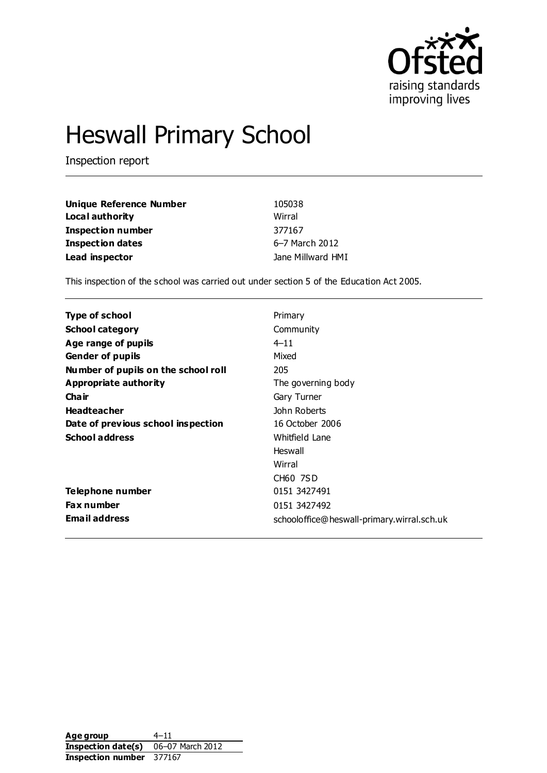

# Heswall Primary School

Inspection report

| Unique Reference Number  | 105038            |
|--------------------------|-------------------|
| Local authority          | Wirral            |
| <b>Inspection number</b> | 377167            |
| <b>Inspection dates</b>  | 6-7 March 2012    |
| Lead inspector           | Jane Millward HMI |

This inspection of the school was carried out under section 5 of the Education Act 2005.

| <b>Type of school</b>               | Primary                                    |
|-------------------------------------|--------------------------------------------|
| <b>School category</b>              | Community                                  |
| Age range of pupils                 | $4 - 11$                                   |
| <b>Gender of pupils</b>             | Mixed                                      |
| Number of pupils on the school roll | 205                                        |
| <b>Appropriate authority</b>        | The governing body                         |
| Cha ir                              | Gary Turner                                |
| <b>Headteacher</b>                  | John Roberts                               |
| Date of previous school inspection  | 16 October 2006                            |
| <b>School address</b>               | Whitfield Lane                             |
|                                     | Heswall                                    |
|                                     | Wirral                                     |
|                                     | CH60 7SD                                   |
| Telephone number                    | 0151 3427491                               |
| <b>Fax number</b>                   | 0151 3427492                               |
| <b>Email address</b>                | schooloffice@heswall-primary.wirral.sch.uk |

Age group 4–11 **Inspection date(s)** 06–07 March 2012 **Inspection number** 377167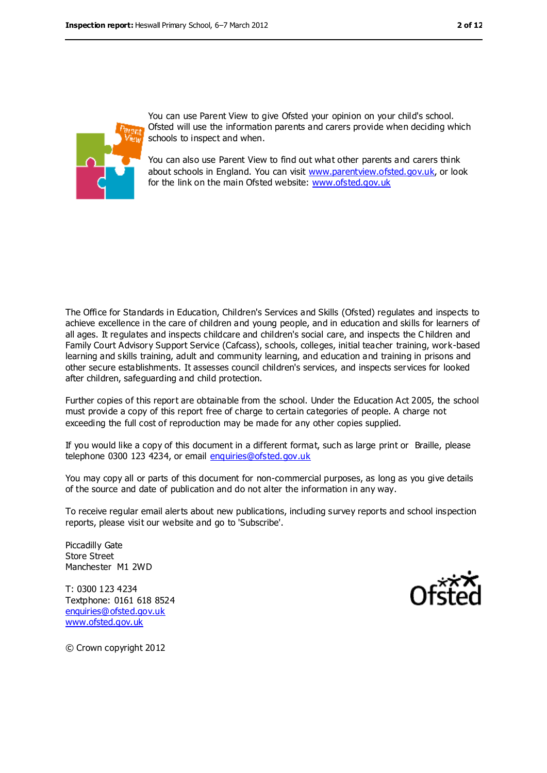

You can use Parent View to give Ofsted your opinion on your child's school. Ofsted will use the information parents and carers provide when deciding which schools to inspect and when.

You can also use Parent View to find out what other parents and carers think about schools in England. You can visit [www.parentview.ofsted.gov.uk,](file:///C:/Users/spenny/AppData/jmillward/AppData/Local/Microsoft/jmillward/AppData/Local/Microsoft/Windows/Temporary%20Internet%20Files/Content.IE5/ZLHHVLHV/www.parentview.ofsted.gov.uk) or look for the link on the main Ofsted website: [www.ofsted.gov.uk](file:///C:/Users/spenny/AppData/jmillward/AppData/Local/Microsoft/jmillward/AppData/Local/Microsoft/Windows/Temporary%20Internet%20Files/Content.IE5/ZLHHVLHV/www.ofsted.gov.uk)

The Office for Standards in Education, Children's Services and Skills (Ofsted) regulates and inspects to achieve excellence in the care of children and young people, and in education and skills for learners of all ages. It regulates and inspects childcare and children's social care, and inspects the C hildren and Family Court Advisory Support Service (Cafcass), schools, colleges, initial teacher training, work-based learning and skills training, adult and community learning, and education and training in prisons and other secure establishments. It assesses council children's services, and inspects services for looked after children, safeguarding and child protection.

Further copies of this report are obtainable from the school. Under the Education Act 2005, the school must provide a copy of this report free of charge to certain categories of people. A charge not exceeding the full cost of reproduction may be made for any other copies supplied.

If you would like a copy of this document in a different format, such as large print or Braille, please telephone 0300 123 4234, or email [enquiries@ofsted.gov.uk](mailto:enquiries@ofsted.gov.uk)

You may copy all or parts of this document for non-commercial purposes, as long as you give details of the source and date of publication and do not alter the information in any way.

To receive regular email alerts about new publications, including survey reports and school inspection reports, please visit our website and go to 'Subscribe'.

Piccadilly Gate Store Street Manchester M1 2WD

T: 0300 123 4234 Textphone: 0161 618 8524 [enquiries@ofsted.gov.uk](mailto:enquiries@ofsted.gov.uk) [www.ofsted.gov.uk](http://www.ofsted.gov.uk/)



© Crown copyright 2012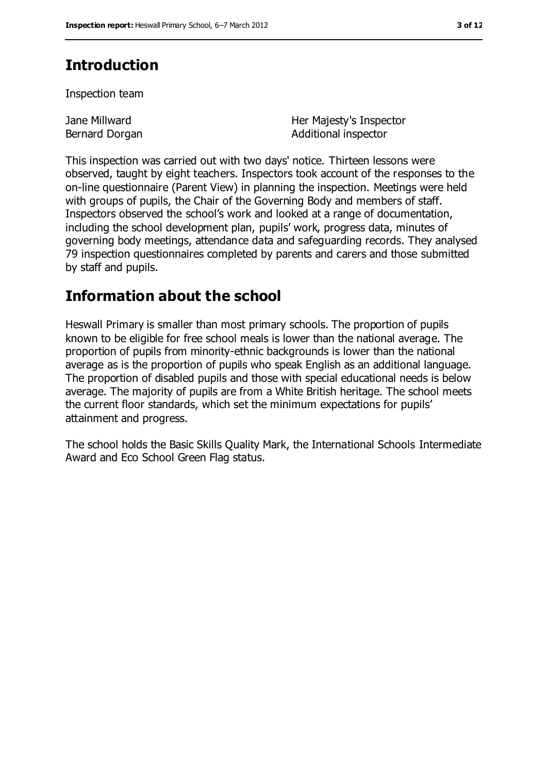# **Introduction**

Inspection team

Jane Millward Bernard Dorgan Her Majesty's Inspector Additional inspector

This inspection was carried out with two days' notice. Thirteen lessons were observed, taught by eight teachers. Inspectors took account of the responses to the on-line questionnaire (Parent View) in planning the inspection. Meetings were held with groups of pupils, the Chair of the Governing Body and members of staff. Inspectors observed the school's work and looked at a range of documentation, including the school development plan, pupils' work, progress data, minutes of governing body meetings, attendance data and safeguarding records. They analysed 79 inspection questionnaires completed by parents and carers and those submitted by staff and pupils.

## **Information about the school**

Heswall Primary is smaller than most primary schools. The proportion of pupils known to be eligible for free school meals is lower than the national average. The proportion of pupils from minority-ethnic backgrounds is lower than the national average as is the proportion of pupils who speak English as an additional language. The proportion of disabled pupils and those with special educational needs is below average. The majority of pupils are from a White British heritage. The school meets the current floor standards, which set the minimum expectations for pupils' attainment and progress.

The school holds the Basic Skills Quality Mark, the International Schools Intermediate Award and Eco School Green Flag status.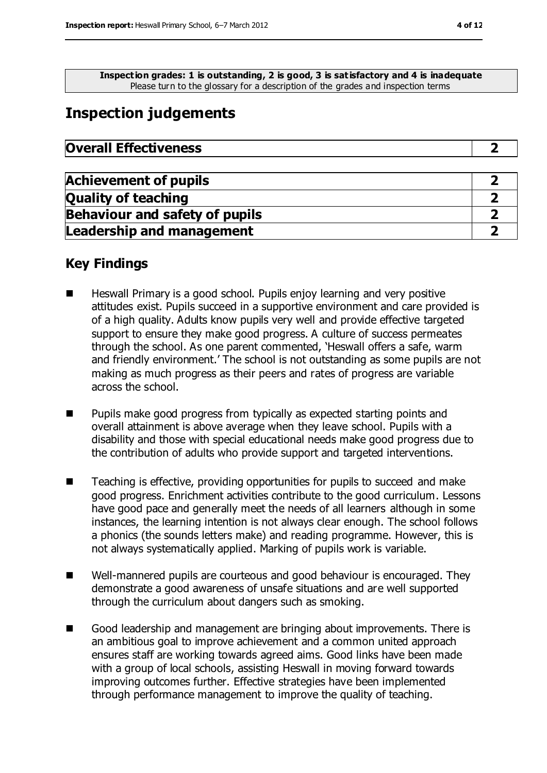**Inspection grades: 1 is outstanding, 2 is good, 3 is satisfactory and 4 is inadequate** Please turn to the glossary for a description of the grades and inspection terms

# **Inspection judgements**

| <b>Achievement of pupils</b>          |  |
|---------------------------------------|--|
| <b>Quality of teaching</b>            |  |
| <b>Behaviour and safety of pupils</b> |  |
| <b>Leadership and management</b>      |  |

## **Key Findings**

- Heswall Primary is a good school. Pupils enjoy learning and very positive attitudes exist. Pupils succeed in a supportive environment and care provided is of a high quality. Adults know pupils very well and provide effective targeted support to ensure they make good progress. A culture of success permeates through the school. As one parent commented, 'Heswall offers a safe, warm and friendly environment.' The school is not outstanding as some pupils are not making as much progress as their peers and rates of progress are variable across the school.
- Pupils make good progress from typically as expected starting points and overall attainment is above average when they leave school. Pupils with a disability and those with special educational needs make good progress due to the contribution of adults who provide support and targeted interventions.
- Teaching is effective, providing opportunities for pupils to succeed and make good progress. Enrichment activities contribute to the good curriculum. Lessons have good pace and generally meet the needs of all learners although in some instances, the learning intention is not always clear enough. The school follows a phonics (the sounds letters make) and reading programme. However, this is not always systematically applied. Marking of pupils work is variable.
- Well-mannered pupils are courteous and good behaviour is encouraged. They demonstrate a good awareness of unsafe situations and are well supported through the curriculum about dangers such as smoking.
- Good leadership and management are bringing about improvements. There is an ambitious goal to improve achievement and a common united approach ensures staff are working towards agreed aims. Good links have been made with a group of local schools, assisting Heswall in moving forward towards improving outcomes further. Effective strategies have been implemented through performance management to improve the quality of teaching.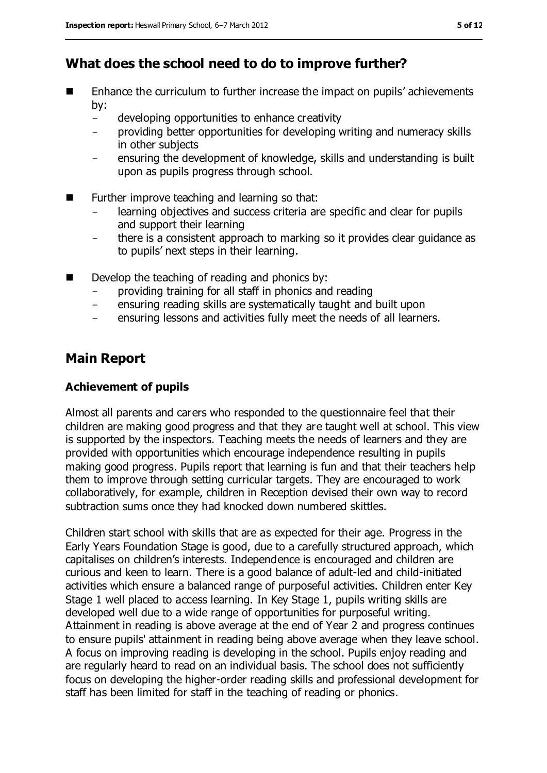## **What does the school need to do to improve further?**

- Enhance the curriculum to further increase the impact on pupils' achievements by:
	- developing opportunities to enhance creativity
	- providing better opportunities for developing writing and numeracy skills in other subjects
	- ensuring the development of knowledge, skills and understanding is built upon as pupils progress through school.
- Further improve teaching and learning so that:
	- learning objectives and success criteria are specific and clear for pupils and support their learning
	- there is a consistent approach to marking so it provides clear guidance as to pupils' next steps in their learning.
- Develop the teaching of reading and phonics by:
	- providing training for all staff in phonics and reading
	- ensuring reading skills are systematically taught and built upon
	- ensuring lessons and activities fully meet the needs of all learners.

## **Main Report**

#### **Achievement of pupils**

Almost all parents and carers who responded to the questionnaire feel that their children are making good progress and that they are taught well at school. This view is supported by the inspectors. Teaching meets the needs of learners and they are provided with opportunities which encourage independence resulting in pupils making good progress. Pupils report that learning is fun and that their teachers help them to improve through setting curricular targets. They are encouraged to work collaboratively, for example, children in Reception devised their own way to record subtraction sums once they had knocked down numbered skittles.

Children start school with skills that are as expected for their age. Progress in the Early Years Foundation Stage is good, due to a carefully structured approach, which capitalises on children's interests. Independence is encouraged and children are curious and keen to learn. There is a good balance of adult-led and child-initiated activities which ensure a balanced range of purposeful activities. Children enter Key Stage 1 well placed to access learning. In Key Stage 1, pupils writing skills are developed well due to a wide range of opportunities for purposeful writing. Attainment in reading is above average at the end of Year 2 and progress continues to ensure pupils' attainment in reading being above average when they leave school. A focus on improving reading is developing in the school. Pupils enjoy reading and are regularly heard to read on an individual basis. The school does not sufficiently focus on developing the higher-order reading skills and professional development for staff has been limited for staff in the teaching of reading or phonics.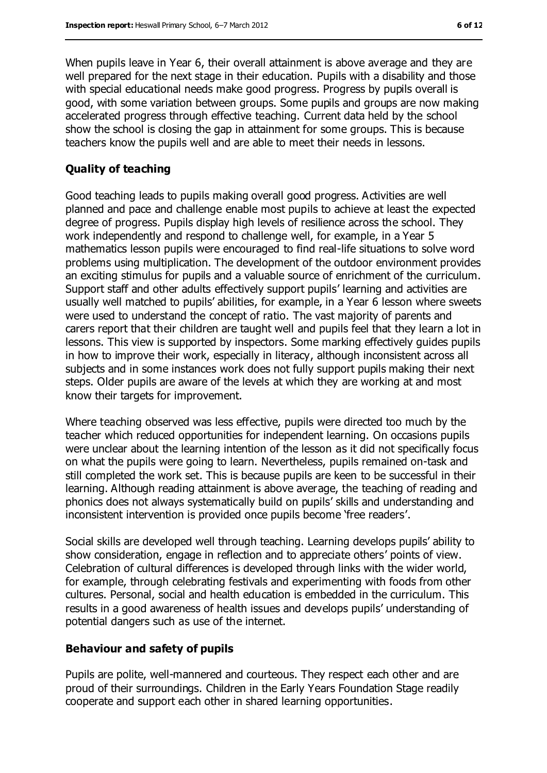When pupils leave in Year 6, their overall attainment is above average and they are well prepared for the next stage in their education. Pupils with a disability and those with special educational needs make good progress. Progress by pupils overall is good, with some variation between groups. Some pupils and groups are now making accelerated progress through effective teaching. Current data held by the school show the school is closing the gap in attainment for some groups. This is because teachers know the pupils well and are able to meet their needs in lessons.

#### **Quality of teaching**

Good teaching leads to pupils making overall good progress. Activities are well planned and pace and challenge enable most pupils to achieve at least the expected degree of progress. Pupils display high levels of resilience across the school. They work independently and respond to challenge well, for example, in a Year 5 mathematics lesson pupils were encouraged to find real-life situations to solve word problems using multiplication. The development of the outdoor environment provides an exciting stimulus for pupils and a valuable source of enrichment of the curriculum. Support staff and other adults effectively support pupils' learning and activities are usually well matched to pupils' abilities, for example, in a Year 6 lesson where sweets were used to understand the concept of ratio. The vast majority of parents and carers report that their children are taught well and pupils feel that they learn a lot in lessons. This view is supported by inspectors. Some marking effectively guides pupils in how to improve their work, especially in literacy, although inconsistent across all subjects and in some instances work does not fully support pupils making their next steps. Older pupils are aware of the levels at which they are working at and most know their targets for improvement.

Where teaching observed was less effective, pupils were directed too much by the teacher which reduced opportunities for independent learning. On occasions pupils were unclear about the learning intention of the lesson as it did not specifically focus on what the pupils were going to learn. Nevertheless, pupils remained on-task and still completed the work set. This is because pupils are keen to be successful in their learning. Although reading attainment is above average, the teaching of reading and phonics does not always systematically build on pupils' skills and understanding and inconsistent intervention is provided once pupils become 'free readers'.

Social skills are developed well through teaching. Learning develops pupils' ability to show consideration, engage in reflection and to appreciate others' points of view. Celebration of cultural differences is developed through links with the wider world, for example, through celebrating festivals and experimenting with foods from other cultures. Personal, social and health education is embedded in the curriculum. This results in a good awareness of health issues and develops pupils' understanding of potential dangers such as use of the internet.

#### **Behaviour and safety of pupils**

Pupils are polite, well-mannered and courteous. They respect each other and are proud of their surroundings. Children in the Early Years Foundation Stage readily cooperate and support each other in shared learning opportunities.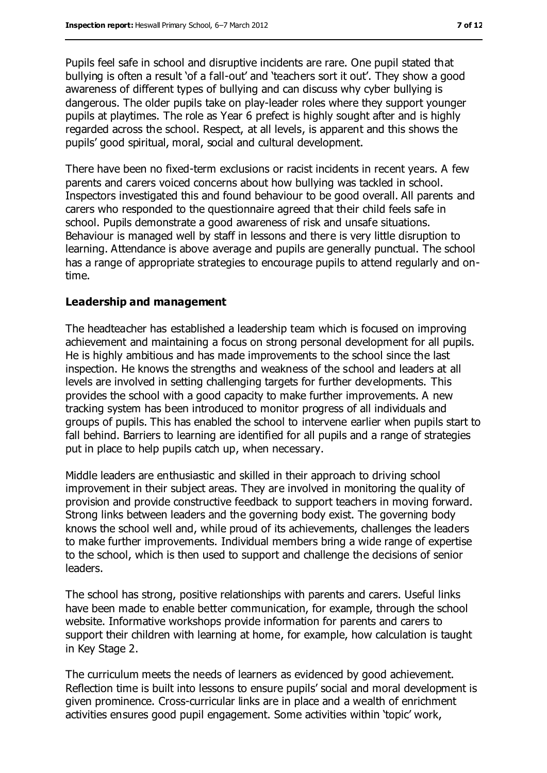Pupils feel safe in school and disruptive incidents are rare. One pupil stated that bullying is often a result 'of a fall-out' and 'teachers sort it out'. They show a good awareness of different types of bullying and can discuss why cyber bullying is dangerous. The older pupils take on play-leader roles where they support younger pupils at playtimes. The role as Year 6 prefect is highly sought after and is highly regarded across the school. Respect, at all levels, is apparent and this shows the pupils' good spiritual, moral, social and cultural development.

There have been no fixed-term exclusions or racist incidents in recent years. A few parents and carers voiced concerns about how bullying was tackled in school. Inspectors investigated this and found behaviour to be good overall. All parents and carers who responded to the questionnaire agreed that their child feels safe in school. Pupils demonstrate a good awareness of risk and unsafe situations. Behaviour is managed well by staff in lessons and there is very little disruption to learning. Attendance is above average and pupils are generally punctual. The school has a range of appropriate strategies to encourage pupils to attend regularly and ontime.

#### **Leadership and management**

The headteacher has established a leadership team which is focused on improving achievement and maintaining a focus on strong personal development for all pupils. He is highly ambitious and has made improvements to the school since the last inspection. He knows the strengths and weakness of the school and leaders at all levels are involved in setting challenging targets for further developments. This provides the school with a good capacity to make further improvements. A new tracking system has been introduced to monitor progress of all individuals and groups of pupils. This has enabled the school to intervene earlier when pupils start to fall behind. Barriers to learning are identified for all pupils and a range of strategies put in place to help pupils catch up, when necessary.

Middle leaders are enthusiastic and skilled in their approach to driving school improvement in their subject areas. They are involved in monitoring the quality of provision and provide constructive feedback to support teachers in moving forward. Strong links between leaders and the governing body exist. The governing body knows the school well and, while proud of its achievements, challenges the leaders to make further improvements. Individual members bring a wide range of expertise to the school, which is then used to support and challenge the decisions of senior leaders.

The school has strong, positive relationships with parents and carers. Useful links have been made to enable better communication, for example, through the school website. Informative workshops provide information for parents and carers to support their children with learning at home, for example, how calculation is taught in Key Stage 2.

The curriculum meets the needs of learners as evidenced by good achievement. Reflection time is built into lessons to ensure pupils' social and moral development is given prominence. Cross-curricular links are in place and a wealth of enrichment activities ensures good pupil engagement. Some activities within 'topic' work,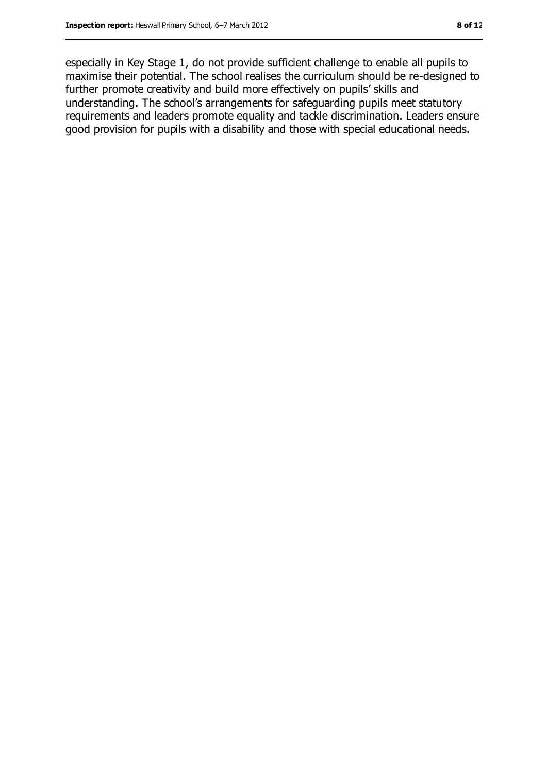especially in Key Stage 1, do not provide sufficient challenge to enable all pupils to maximise their potential. The school realises the curriculum should be re-designed to further promote creativity and build more effectively on pupils' skills and understanding. The school's arrangements for safeguarding pupils meet statutory requirements and leaders promote equality and tackle discrimination. Leaders ensure good provision for pupils with a disability and those with special educational needs.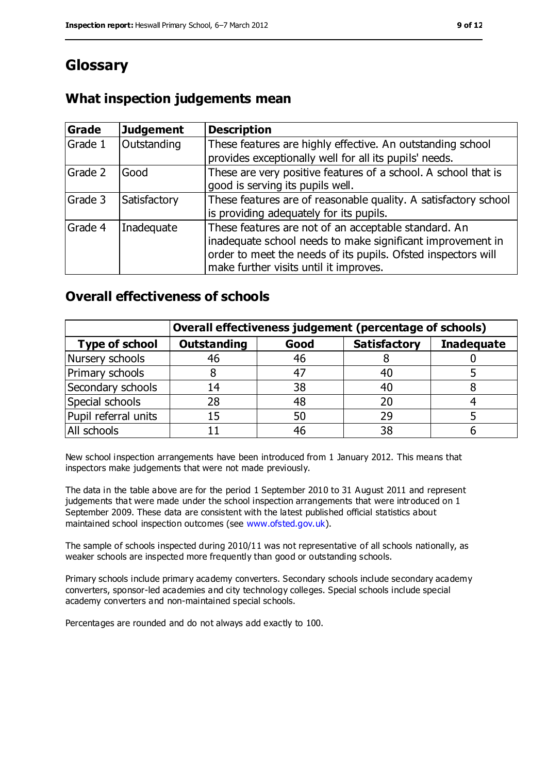## **Glossary**

### **What inspection judgements mean**

| Grade   | <b>Judgement</b> | <b>Description</b>                                                                                                                                                                                                            |
|---------|------------------|-------------------------------------------------------------------------------------------------------------------------------------------------------------------------------------------------------------------------------|
| Grade 1 | Outstanding      | These features are highly effective. An outstanding school<br>provides exceptionally well for all its pupils' needs.                                                                                                          |
| Grade 2 | Good             | These are very positive features of a school. A school that is<br>good is serving its pupils well.                                                                                                                            |
| Grade 3 | Satisfactory     | These features are of reasonable quality. A satisfactory school<br>is providing adequately for its pupils.                                                                                                                    |
| Grade 4 | Inadequate       | These features are not of an acceptable standard. An<br>inadequate school needs to make significant improvement in<br>order to meet the needs of its pupils. Ofsted inspectors will<br>make further visits until it improves. |

#### **Overall effectiveness of schools**

|                       | Overall effectiveness judgement (percentage of schools) |      |                     |                   |
|-----------------------|---------------------------------------------------------|------|---------------------|-------------------|
| <b>Type of school</b> | <b>Outstanding</b>                                      | Good | <b>Satisfactory</b> | <b>Inadequate</b> |
| Nursery schools       | 46                                                      | 46   |                     |                   |
| Primary schools       |                                                         | 47   | 40                  |                   |
| Secondary schools     | 14                                                      | 38   | 40                  |                   |
| Special schools       | 28                                                      | 48   | 20                  |                   |
| Pupil referral units  | 15                                                      | 50   | 29                  |                   |
| All schools           |                                                         | 46   | 38                  |                   |

New school inspection arrangements have been introduced from 1 January 2012. This means that inspectors make judgements that were not made previously.

The data in the table above are for the period 1 September 2010 to 31 August 2011 and represent judgements that were made under the school inspection arrangements that were introduced on 1 September 2009. These data are consistent with the latest published official statistics about maintained school inspection outcomes (see [www.ofsted.gov.uk\)](file:///C:/Users/spenny/AppData/jmillward/AppData/Local/Microsoft/jmillward/AppData/Local/Microsoft/Windows/Temporary%20Internet%20Files/Content.IE5/ZLHHVLHV/www.ofsted.gov.uk).

The sample of schools inspected during 2010/11 was not representative of all schools nationally, as weaker schools are inspected more frequently than good or outstanding schools.

Primary schools include primary academy converters. Secondary schools include secondary academy converters, sponsor-led academies and city technology colleges. Special schools include special academy converters and non-maintained special schools.

Percentages are rounded and do not always add exactly to 100.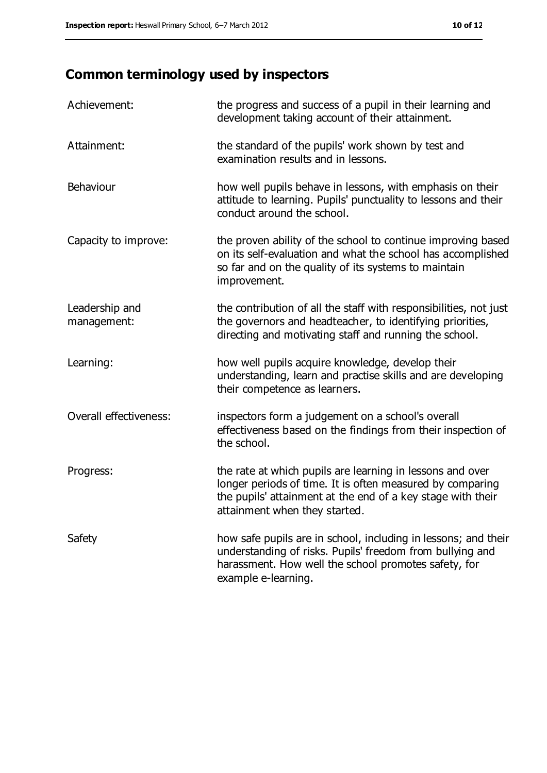# **Common terminology used by inspectors**

| Achievement:                  | the progress and success of a pupil in their learning and<br>development taking account of their attainment.                                                                                                           |
|-------------------------------|------------------------------------------------------------------------------------------------------------------------------------------------------------------------------------------------------------------------|
| Attainment:                   | the standard of the pupils' work shown by test and<br>examination results and in lessons.                                                                                                                              |
| Behaviour                     | how well pupils behave in lessons, with emphasis on their<br>attitude to learning. Pupils' punctuality to lessons and their<br>conduct around the school.                                                              |
| Capacity to improve:          | the proven ability of the school to continue improving based<br>on its self-evaluation and what the school has accomplished<br>so far and on the quality of its systems to maintain<br>improvement.                    |
| Leadership and<br>management: | the contribution of all the staff with responsibilities, not just<br>the governors and headteacher, to identifying priorities,<br>directing and motivating staff and running the school.                               |
| Learning:                     | how well pupils acquire knowledge, develop their<br>understanding, learn and practise skills and are developing<br>their competence as learners.                                                                       |
| Overall effectiveness:        | inspectors form a judgement on a school's overall<br>effectiveness based on the findings from their inspection of<br>the school.                                                                                       |
| Progress:                     | the rate at which pupils are learning in lessons and over<br>longer periods of time. It is often measured by comparing<br>the pupils' attainment at the end of a key stage with their<br>attainment when they started. |
| Safety                        | how safe pupils are in school, including in lessons; and their<br>understanding of risks. Pupils' freedom from bullying and<br>harassment. How well the school promotes safety, for<br>example e-learning.             |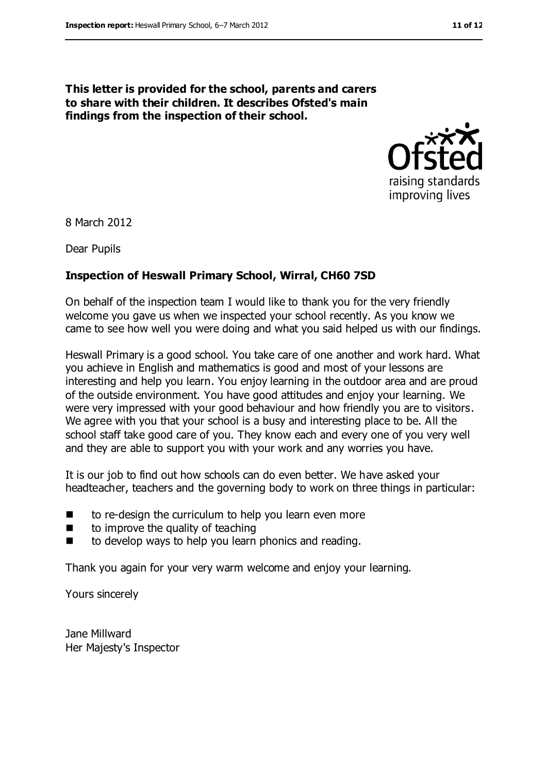#### **This letter is provided for the school, parents and carers to share with their children. It describes Ofsted's main findings from the inspection of their school.**



8 March 2012

Dear Pupils

#### **Inspection of Heswall Primary School, Wirral, CH60 7SD**

On behalf of the inspection team I would like to thank you for the very friendly welcome you gave us when we inspected your school recently. As you know we came to see how well you were doing and what you said helped us with our findings.

Heswall Primary is a good school. You take care of one another and work hard. What you achieve in English and mathematics is good and most of your lessons are interesting and help you learn. You enjoy learning in the outdoor area and are proud of the outside environment. You have good attitudes and enjoy your learning. We were very impressed with your good behaviour and how friendly you are to visitors. We agree with you that your school is a busy and interesting place to be. All the school staff take good care of you. They know each and every one of you very well and they are able to support you with your work and any worries you have.

It is our job to find out how schools can do even better. We have asked your headteacher, teachers and the governing body to work on three things in particular:

- $\blacksquare$  to re-design the curriculum to help you learn even more
- $\blacksquare$  to improve the quality of teaching
- $\blacksquare$  to develop ways to help you learn phonics and reading.

Thank you again for your very warm welcome and enjoy your learning.

Yours sincerely

Jane Millward Her Majesty's Inspector